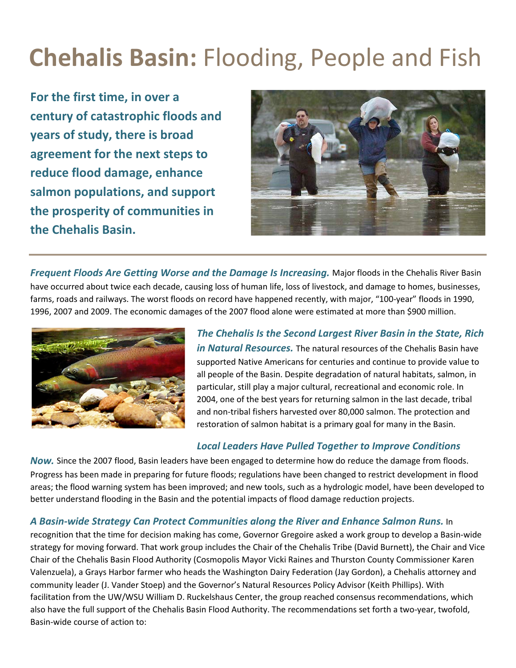# **Chehalis Basin:** Flooding, People and Fish

**For the first time, in over a century of catastrophic floods and years of study, there is broad agreement for the next steps to reduce flood damage, enhance salmon populations, and support the prosperity of communities in the Chehalis Basin.** 



*Frequent Floods Are Getting Worse and the Damage Is Increasing.* Major floods in the Chehalis River Basin have occurred about twice each decade, causing loss of human life, loss of livestock, and damage to homes, businesses, farms, roads and railways. The worst floods on record have happened recently, with major, "100-year" floods in 1990, 1996, 2007 and 2009. The economic damages of the 2007 flood alone were estimated at more than \$900 million.



*The Chehalis Is the Second Largest River Basin in the State, Rich in Natural Resources.* The natural resources of the Chehalis Basin have supported Native Americans for centuries and continue to provide value to all people of the Basin. Despite degradation of natural habitats, salmon, in particular, still play a major cultural, recreational and economic role. In 2004, one of the best years for returning salmon in the last decade, tribal and non-tribal fishers harvested over 80,000 salmon. The protection and restoration of salmon habitat is a primary goal for many in the Basin.

## *Local Leaders Have Pulled Together to Improve Conditions*

*Now.* Since the 2007 flood, Basin leaders have been engaged to determine how do reduce the damage from floods. Progress has been made in preparing for future floods; regulations have been changed to restrict development in flood areas; the flood warning system has been improved; and new tools, such as a hydrologic model, have been developed to better understand flooding in the Basin and the potential impacts of flood damage reduction projects.

## *A Basin-wide Strategy Can Protect Communities along the River and Enhance Salmon Runs.* In

recognition that the time for decision making has come, Governor Gregoire asked a work group to develop a Basin-wide strategy for moving forward. That work group includes the Chair of the Chehalis Tribe (David Burnett), the Chair and Vice Chair of the Chehalis Basin Flood Authority (Cosmopolis Mayor Vicki Raines and Thurston County Commissioner Karen Valenzuela), a Grays Harbor farmer who heads the Washington Dairy Federation (Jay Gordon), a Chehalis attorney and community leader (J. Vander Stoep) and the Governor's Natural Resources Policy Advisor (Keith Phillips). With facilitation from the UW/WSU William D. Ruckelshaus Center, the group reached consensus recommendations, which also have the full support of the Chehalis Basin Flood Authority. The recommendations set forth a two-year, twofold, Basin-wide course of action to: